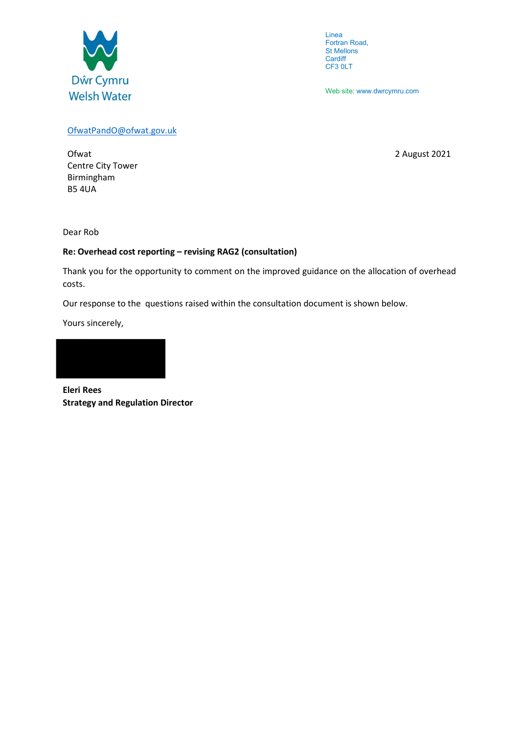

Linea Fortran Road, St Mellons **Cardiff** CF3 0LT

Web site: www.dwrcymru.com

### OfwatPandO@ofwat.gov.uk

Ofwat 2021 Centre City Tower Birmingham B5 4UA

Dear Rob

# Re: Overhead cost reporting – revising RAG2 (consultation)

Thank you for the opportunity to comment on the improved guidance on the allocation of overhead costs.

Our response to the questions raised within the consultation document is shown below.

Yours sincerely,



Eleri Rees Strategy and Regulation Director